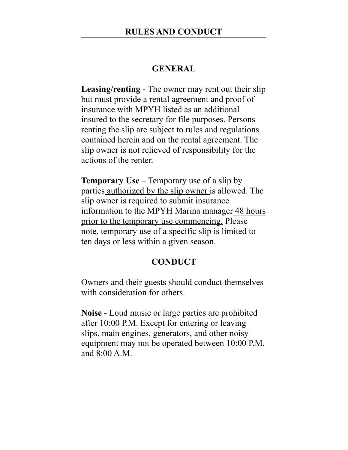### **GENERAL**

**Leasing/renting** - The owner may rent out their slip but must provide a rental agreement and proof of insurance with MPYH listed as an additional insured to the secretary for file purposes. Persons renting the slip are subject to rules and regulations contained herein and on the rental agreement. The slip owner is not relieved of responsibility for the actions of the renter.

**Temporary Use** – Temporary use of a slip by parties authorized by the slip owner is allowed. The slip owner is required to submit insurance information to the MPYH Marina manager 48 hours prior to the temporary use commencing. Please note, temporary use of a specific slip is limited to ten days or less within a given season.

# **CONDUCT**

Owners and their guests should conduct themselves with consideration for others.

**Noise** - Loud music or large parties are prohibited after 10:00 P.M. Except for entering or leaving slips, main engines, generators, and other noisy equipment may not be operated between 10:00 P.M. and 8:00 A.M.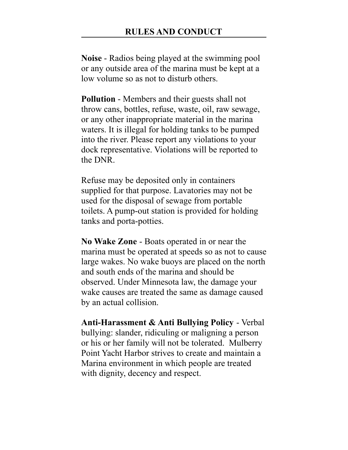**Noise** - Radios being played at the swimming pool or any outside area of the marina must be kept at a low volume so as not to disturb others.

**Pollution** - Members and their guests shall not throw cans, bottles, refuse, waste, oil, raw sewage, or any other inappropriate material in the marina waters. It is illegal for holding tanks to be pumped into the river. Please report any violations to your dock representative. Violations will be reported to the DNR.

Refuse may be deposited only in containers supplied for that purpose. Lavatories may not be used for the disposal of sewage from portable toilets. A pump-out station is provided for holding tanks and porta-potties.

**No Wake Zone** - Boats operated in or near the marina must be operated at speeds so as not to cause large wakes. No wake buoys are placed on the north and south ends of the marina and should be observed. Under Minnesota law, the damage your wake causes are treated the same as damage caused by an actual collision.

**Anti-Harassment & Anti Bullying Policy** - Verbal bullying: slander, ridiculing or maligning a person or his or her family will not be tolerated. Mulberry Point Yacht Harbor strives to create and maintain a Marina environment in which people are treated with dignity, decency and respect.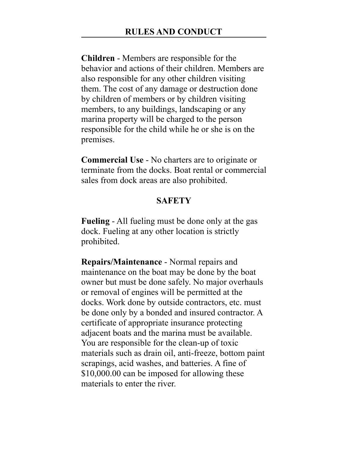**Children** - Members are responsible for the behavior and actions of their children. Members are also responsible for any other children visiting them. The cost of any damage or destruction done by children of members or by children visiting members, to any buildings, landscaping or any marina property will be charged to the person responsible for the child while he or she is on the premises.

**Commercial Use** - No charters are to originate or terminate from the docks. Boat rental or commercial sales from dock areas are also prohibited.

### **SAFETY**

**Fueling** - All fueling must be done only at the gas dock. Fueling at any other location is strictly prohibited.

**Repairs/Maintenance** - Normal repairs and maintenance on the boat may be done by the boat owner but must be done safely. No major overhauls or removal of engines will be permitted at the docks. Work done by outside contractors, etc. must be done only by a bonded and insured contractor. A certificate of appropriate insurance protecting adjacent boats and the marina must be available. You are responsible for the clean-up of toxic materials such as drain oil, anti-freeze, bottom paint scrapings, acid washes, and batteries. A fine of \$10,000.00 can be imposed for allowing these materials to enter the river.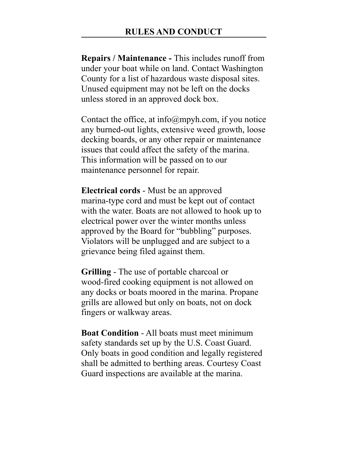**Repairs / Maintenance -** This includes runoff from under your boat while on land. Contact Washington County for a list of hazardous waste disposal sites. Unused equipment may not be left on the docks unless stored in an approved dock box.

Contact the office, at  $info(\omega)$ mpyh.com, if you notice any burned-out lights, extensive weed growth, loose decking boards, or any other repair or maintenance issues that could affect the safety of the marina. This information will be passed on to our maintenance personnel for repair.

**Electrical cords** - Must be an approved marina-type cord and must be kept out of contact with the water. Boats are not allowed to hook up to electrical power over the winter months unless approved by the Board for "bubbling" purposes. Violators will be unplugged and are subject to a grievance being filed against them.

**Grilling** - The use of portable charcoal or wood-fired cooking equipment is not allowed on any docks or boats moored in the marina. Propane grills are allowed but only on boats, not on dock fingers or walkway areas.

**Boat Condition** - All boats must meet minimum safety standards set up by the U.S. Coast Guard. Only boats in good condition and legally registered shall be admitted to berthing areas. Courtesy Coast Guard inspections are available at the marina.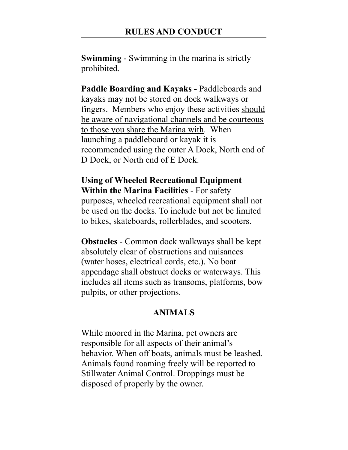**Swimming** - Swimming in the marina is strictly prohibited.

**Paddle Boarding and Kayaks -** Paddleboards and kayaks may not be stored on dock walkways or fingers. Members who enjoy these activities should be aware of navigational channels and be courteous to those you share the Marina with. When launching a paddleboard or kayak it is recommended using the outer A Dock, North end of D Dock, or North end of E Dock.

### **Using of Wheeled Recreational Equipment Within the Marina Facilities** - For safety

purposes, wheeled recreational equipment shall not be used on the docks. To include but not be limited to bikes, skateboards, rollerblades, and scooters.

**Obstacles** - Common dock walkways shall be kept absolutely clear of obstructions and nuisances (water hoses, electrical cords, etc.). No boat appendage shall obstruct docks or waterways. This includes all items such as transoms, platforms, bow pulpits, or other projections.

# **ANIMALS**

While moored in the Marina, pet owners are responsible for all aspects of their animal's behavior. When off boats, animals must be leashed. Animals found roaming freely will be reported to Stillwater Animal Control. Droppings must be disposed of properly by the owner.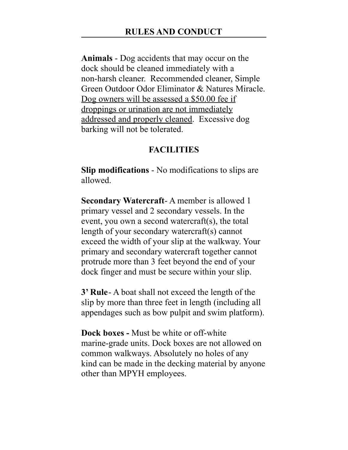**Animals** - Dog accidents that may occur on the dock should be cleaned immediately with a non-harsh cleaner. Recommended cleaner, Simple Green Outdoor Odor Eliminator & Natures Miracle. Dog owners will be assessed a \$50.00 fee if droppings or urination are not immediately addressed and properly cleaned. Excessive dog barking will not be tolerated.

### **FACILITIES**

**Slip modifications** - No modifications to slips are allowed.

**Secondary Watercraft**- A member is allowed 1 primary vessel and 2 secondary vessels. In the event, you own a second watercraft(s), the total length of your secondary watercraft(s) cannot exceed the width of your slip at the walkway. Your primary and secondary watercraft together cannot protrude more than 3 feet beyond the end of your dock finger and must be secure within your slip.

**3' Rule**- A boat shall not exceed the length of the slip by more than three feet in length (including all appendages such as bow pulpit and swim platform).

**Dock boxes -** Must be white or off-white marine-grade units. Dock boxes are not allowed on common walkways. Absolutely no holes of any kind can be made in the decking material by anyone other than MPYH employees.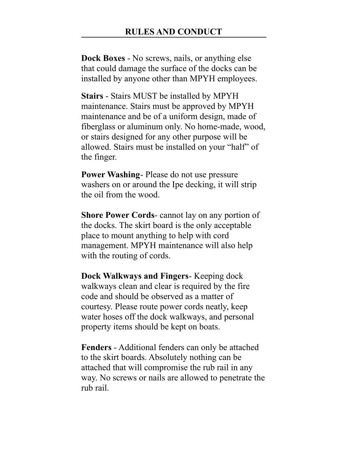**Dock Boxes** - No screws, nails, or anything else that could damage the surface of the docks can be installed by anyone other than MPYH employees.

**Stairs** - Stairs MUST be installed by MPYH maintenance. Stairs must be approved by MPYH maintenance and be of a uniform design, made of fiberglass or aluminum only. No home-made, wood, or stairs designed for any other purpose will be allowed. Stairs must be installed on your "half" of the finger.

**Power Washing**- Please do not use pressure washers on or around the Ipe decking, it will strip the oil from the wood.

**Shore Power Cords**- cannot lay on any portion of the docks. The skirt board is the only acceptable place to mount anything to help with cord management. MPYH maintenance will also help with the routing of cords.

**Dock Walkways and Fingers**- Keeping dock walkways clean and clear is required by the fire code and should be observed as a matter of courtesy. Please route power cords neatly, keep water hoses off the dock walkways, and personal property items should be kept on boats.

**Fenders** - Additional fenders can only be attached to the skirt boards. Absolutely nothing can be attached that will compromise the rub rail in any way. No screws or nails are allowed to penetrate the rub rail.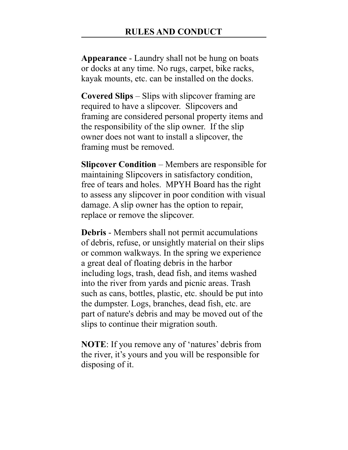**Appearance** - Laundry shall not be hung on boats or docks at any time. No rugs, carpet, bike racks, kayak mounts, etc. can be installed on the docks.

**Covered Slips** – Slips with slipcover framing are required to have a slipcover. Slipcovers and framing are considered personal property items and the responsibility of the slip owner. If the slip owner does not want to install a slipcover, the framing must be removed.

**Slipcover Condition** – Members are responsible for maintaining Slipcovers in satisfactory condition, free of tears and holes. MPYH Board has the right to assess any slipcover in poor condition with visual damage. A slip owner has the option to repair, replace or remove the slipcover.

**Debris** - Members shall not permit accumulations of debris, refuse, or unsightly material on their slips or common walkways. In the spring we experience a great deal of floating debris in the harbor including logs, trash, dead fish, and items washed into the river from yards and picnic areas. Trash such as cans, bottles, plastic, etc. should be put into the dumpster. Logs, branches, dead fish, etc. are part of nature's debris and may be moved out of the slips to continue their migration south.

**NOTE**: If you remove any of 'natures' debris from the river, it's yours and you will be responsible for disposing of it.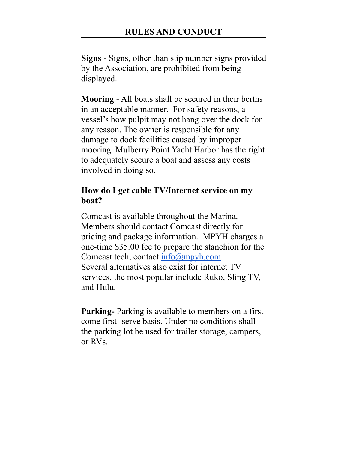**Signs** - Signs, other than slip number signs provided by the Association, are prohibited from being displayed.

**Mooring** - All boats shall be secured in their berths in an acceptable manner. For safety reasons, a vessel's bow pulpit may not hang over the dock for any reason. The owner is responsible for any damage to dock facilities caused by improper mooring. Mulberry Point Yacht Harbor has the right to adequately secure a boat and assess any costs involved in doing so.

# **How do I get cable TV/Internet service on my boat?**

Comcast is available throughout the Marina. Members should contact Comcast directly for pricing and package information. MPYH charges a one-time \$35.00 fee to prepare the stanchion for the Comcast tech, contact info@mpyh.com. Several alternatives also exist for internet TV services, the most popular include Ruko, Sling TV, and Hulu.

**Parking-** Parking is available to members on a first come first- serve basis. Under no conditions shall the parking lot be used for trailer storage, campers, or RVs.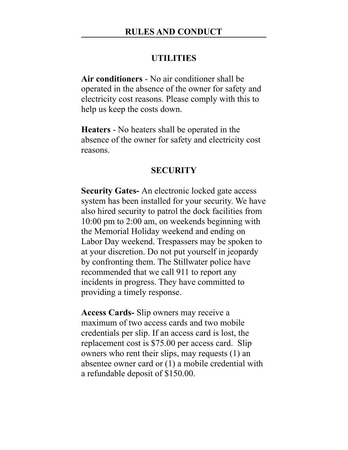### **UTILITIES**

**Air conditioners** - No air conditioner shall be operated in the absence of the owner for safety and electricity cost reasons. Please comply with this to help us keep the costs down.

**Heaters** - No heaters shall be operated in the absence of the owner for safety and electricity cost reasons.

#### **SECURITY**

**Security Gates-** An electronic locked gate access system has been installed for your security. We have also hired security to patrol the dock facilities from 10:00 pm to 2:00 am, on weekends beginning with the Memorial Holiday weekend and ending on Labor Day weekend. Trespassers may be spoken to at your discretion. Do not put yourself in jeopardy by confronting them. The Stillwater police have recommended that we call 911 to report any incidents in progress. They have committed to providing a timely response.

**Access Cards-** Slip owners may receive a maximum of two access cards and two mobile credentials per slip. If an access card is lost, the replacement cost is \$75.00 per access card. Slip owners who rent their slips, may requests (1) an absentee owner card or (1) a mobile credential with a refundable deposit of \$150.00.